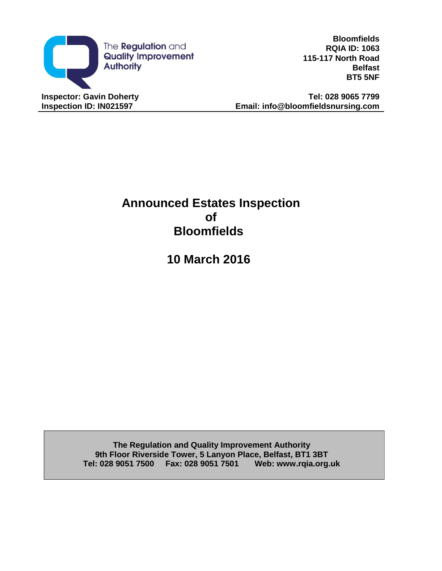

**Bloomfields RQIA ID: 1063 115-117 North Road Belfast BT5 5NF**

**Inspection ID: IN021597 Email: info@bloomfieldsnursing.com**

# **Announced Estates Inspection of Bloomfields**

**10 March 2016**

**The Regulation and Quality Improvement Authority 9th Floor Riverside Tower, 5 Lanyon Place, Belfast, BT1 3BT Tel: 028 9051 7500 Fax: 028 9051 7501 Web: www.rqia.org.uk**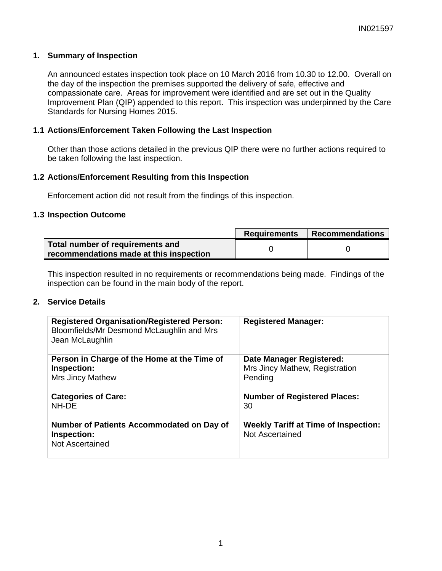# **1. Summary of Inspection**

An announced estates inspection took place on 10 March 2016 from 10.30 to 12.00. Overall on the day of the inspection the premises supported the delivery of safe, effective and compassionate care. Areas for improvement were identified and are set out in the Quality Improvement Plan (QIP) appended to this report. This inspection was underpinned by the Care Standards for Nursing Homes 2015.

# **1.1 Actions/Enforcement Taken Following the Last Inspection**

Other than those actions detailed in the previous QIP there were no further actions required to be taken following the last inspection.

## **1.2 Actions/Enforcement Resulting from this Inspection**

Enforcement action did not result from the findings of this inspection.

### **1.3 Inspection Outcome**

|                                                                             | <b>Requirements</b> | Recommendations |
|-----------------------------------------------------------------------------|---------------------|-----------------|
| Total number of requirements and<br>recommendations made at this inspection |                     |                 |

This inspection resulted in no requirements or recommendations being made. Findings of the inspection can be found in the main body of the report.

# **2. Service Details**

| <b>Registered Organisation/Registered Person:</b><br>Bloomfields/Mr Desmond McLaughlin and Mrs<br>Jean McLaughlin | <b>Registered Manager:</b>                                            |
|-------------------------------------------------------------------------------------------------------------------|-----------------------------------------------------------------------|
| Person in Charge of the Home at the Time of                                                                       | <b>Date Manager Registered:</b>                                       |
| Inspection:                                                                                                       | Mrs Jincy Mathew, Registration                                        |
| Mrs Jincy Mathew                                                                                                  | Pending                                                               |
| <b>Categories of Care:</b>                                                                                        | <b>Number of Registered Places:</b>                                   |
| NH-DE                                                                                                             | 30                                                                    |
| Number of Patients Accommodated on Day of<br>Inspection:<br>Not Ascertained                                       | <b>Weekly Tariff at Time of Inspection:</b><br><b>Not Ascertained</b> |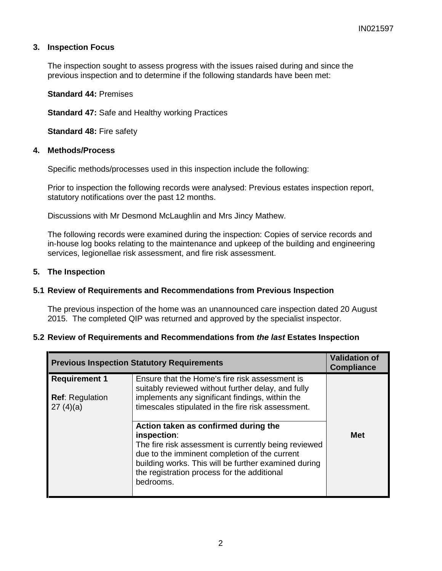# **3. Inspection Focus**

The inspection sought to assess progress with the issues raised during and since the previous inspection and to determine if the following standards have been met:

**Standard 44:** Premises

**Standard 47:** Safe and Healthy working Practices

**Standard 48:** Fire safety

### **4. Methods/Process**

Specific methods/processes used in this inspection include the following:

Prior to inspection the following records were analysed: Previous estates inspection report, statutory notifications over the past 12 months.

Discussions with Mr Desmond McLaughlin and Mrs Jincy Mathew.

The following records were examined during the inspection: Copies of service records and in-house log books relating to the maintenance and upkeep of the building and engineering services, legionellae risk assessment, and fire risk assessment.

### **5. The Inspection**

## **5.1 Review of Requirements and Recommendations from Previous Inspection**

The previous inspection of the home was an unannounced care inspection dated 20 August 2015. The completed QIP was returned and approved by the specialist inspector.

## **5.2 Review of Requirements and Recommendations from** *the last* **Estates Inspection**

| <b>Previous Inspection Statutory Requirements</b> |                                                                                                                                                                                                                                                                                  | <b>Validation of</b><br><b>Compliance</b> |
|---------------------------------------------------|----------------------------------------------------------------------------------------------------------------------------------------------------------------------------------------------------------------------------------------------------------------------------------|-------------------------------------------|
| <b>Requirement 1</b>                              | Ensure that the Home's fire risk assessment is<br>suitably reviewed without further delay, and fully                                                                                                                                                                             |                                           |
| <b>Ref: Regulation</b><br>27(4)(a)                | implements any significant findings, within the<br>timescales stipulated in the fire risk assessment.                                                                                                                                                                            |                                           |
|                                                   | Action taken as confirmed during the<br>inspection:<br>The fire risk assessment is currently being reviewed<br>due to the imminent completion of the current<br>building works. This will be further examined during<br>the registration process for the additional<br>bedrooms. | <b>Met</b>                                |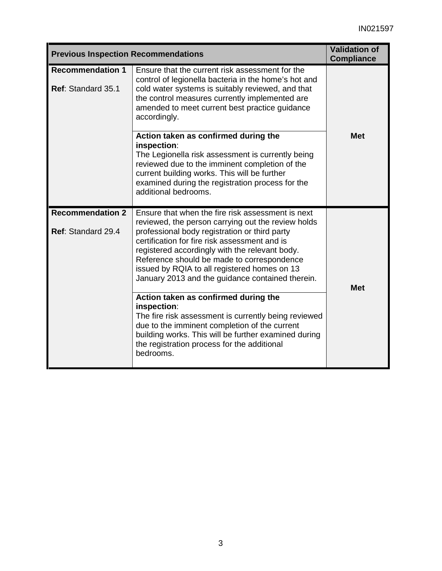| <b>Previous Inspection Recommendations</b>    | <b>Validation of</b><br><b>Compliance</b>                                                                                                                                                                                                                                                                                                                                                                     |            |  |
|-----------------------------------------------|---------------------------------------------------------------------------------------------------------------------------------------------------------------------------------------------------------------------------------------------------------------------------------------------------------------------------------------------------------------------------------------------------------------|------------|--|
| <b>Recommendation 1</b><br>Ref: Standard 35.1 | Ensure that the current risk assessment for the<br>control of legionella bacteria in the home's hot and<br>cold water systems is suitably reviewed, and that<br>the control measures currently implemented are<br>amended to meet current best practice guidance<br>accordingly.                                                                                                                              |            |  |
|                                               | Action taken as confirmed during the<br>inspection:<br>The Legionella risk assessment is currently being<br>reviewed due to the imminent completion of the<br>current building works. This will be further<br>examined during the registration process for the<br>additional bedrooms.                                                                                                                        | <b>Met</b> |  |
| <b>Recommendation 2</b><br>Ref: Standard 29.4 | Ensure that when the fire risk assessment is next<br>reviewed, the person carrying out the review holds<br>professional body registration or third party<br>certification for fire risk assessment and is<br>registered accordingly with the relevant body.<br>Reference should be made to correspondence<br>issued by RQIA to all registered homes on 13<br>January 2013 and the guidance contained therein. | <b>Met</b> |  |
|                                               | Action taken as confirmed during the<br>inspection:<br>The fire risk assessment is currently being reviewed<br>due to the imminent completion of the current<br>building works. This will be further examined during<br>the registration process for the additional<br>bedrooms.                                                                                                                              |            |  |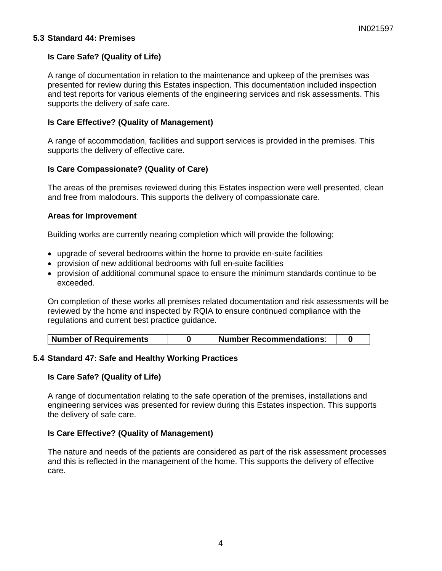## **5.3 Standard 44: Premises**

# **Is Care Safe? (Quality of Life)**

A range of documentation in relation to the maintenance and upkeep of the premises was presented for review during this Estates inspection. This documentation included inspection and test reports for various elements of the engineering services and risk assessments. This supports the delivery of safe care.

# **Is Care Effective? (Quality of Management)**

A range of accommodation, facilities and support services is provided in the premises. This supports the delivery of effective care.

# **Is Care Compassionate? (Quality of Care)**

The areas of the premises reviewed during this Estates inspection were well presented, clean and free from malodours. This supports the delivery of compassionate care.

## **Areas for Improvement**

Building works are currently nearing completion which will provide the following;

- upgrade of several bedrooms within the home to provide en-suite facilities
- provision of new additional bedrooms with full en-suite facilities
- provision of additional communal space to ensure the minimum standards continue to be exceeded.

On completion of these works all premises related documentation and risk assessments will be reviewed by the home and inspected by RQIA to ensure continued compliance with the regulations and current best practice guidance.

| Number of Requirements | <b>Number Recommendations:</b> |  |
|------------------------|--------------------------------|--|
|                        |                                |  |

## **5.4 Standard 47: Safe and Healthy Working Practices**

## **Is Care Safe? (Quality of Life)**

A range of documentation relating to the safe operation of the premises, installations and engineering services was presented for review during this Estates inspection. This supports the delivery of safe care.

## **Is Care Effective? (Quality of Management)**

The nature and needs of the patients are considered as part of the risk assessment processes and this is reflected in the management of the home. This supports the delivery of effective care.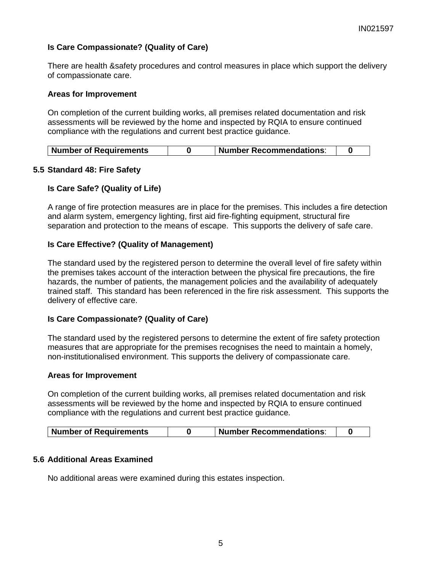# **Is Care Compassionate? (Quality of Care)**

There are health &safety procedures and control measures in place which support the delivery of compassionate care.

### **Areas for Improvement**

On completion of the current building works, all premises related documentation and risk assessments will be reviewed by the home and inspected by RQIA to ensure continued compliance with the regulations and current best practice guidance.

|  | <b>Number of Requirements</b> |  | <b>Number Recommendations:</b> |  |
|--|-------------------------------|--|--------------------------------|--|
|--|-------------------------------|--|--------------------------------|--|

## **5.5 Standard 48: Fire Safety**

### **Is Care Safe? (Quality of Life)**

A range of fire protection measures are in place for the premises. This includes a fire detection and alarm system, emergency lighting, first aid fire-fighting equipment, structural fire separation and protection to the means of escape. This supports the delivery of safe care.

### **Is Care Effective? (Quality of Management)**

The standard used by the registered person to determine the overall level of fire safety within the premises takes account of the interaction between the physical fire precautions, the fire hazards, the number of patients, the management policies and the availability of adequately trained staff. This standard has been referenced in the fire risk assessment. This supports the delivery of effective care.

## **Is Care Compassionate? (Quality of Care)**

The standard used by the registered persons to determine the extent of fire safety protection measures that are appropriate for the premises recognises the need to maintain a homely, non-institutionalised environment. This supports the delivery of compassionate care.

#### **Areas for Improvement**

On completion of the current building works, all premises related documentation and risk assessments will be reviewed by the home and inspected by RQIA to ensure continued compliance with the regulations and current best practice guidance.

| Number of Requirements |  | <b>Number Recommendations:</b> |  |  |
|------------------------|--|--------------------------------|--|--|
|------------------------|--|--------------------------------|--|--|

## **5.6 Additional Areas Examined**

No additional areas were examined during this estates inspection.